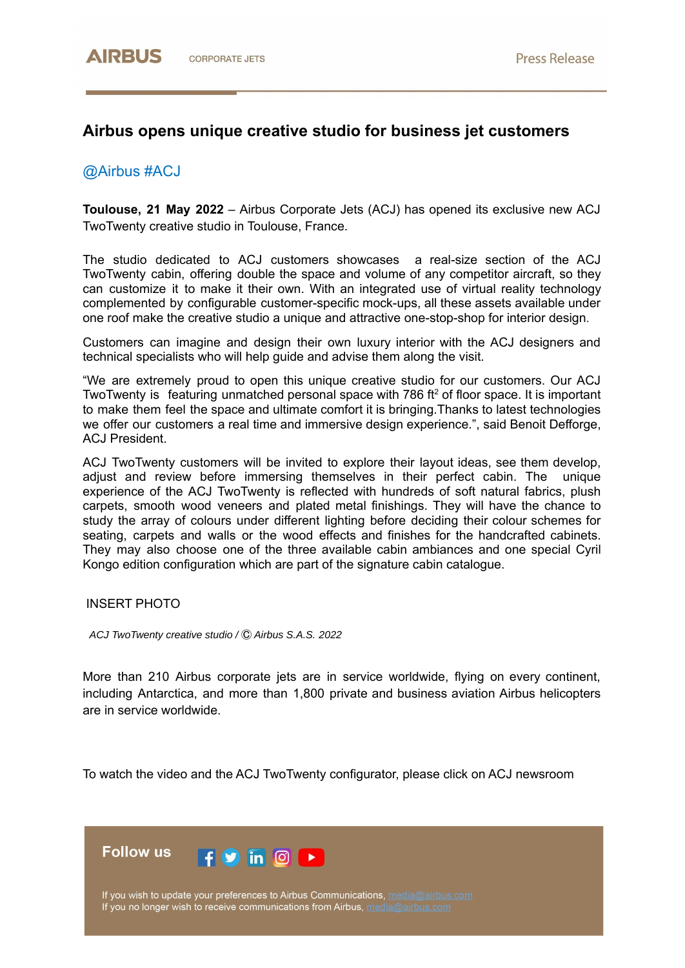## **Airbus opens unique creative studio for business jet customers**

## @Airbus #ACJ

**Toulouse, 21 May 2022** – Airbus Corporate Jets (ACJ) has opened its exclusive new ACJ TwoTwenty creative studio in Toulouse, France.

The studio dedicated to ACJ customers showcases a real-size section of the ACJ TwoTwenty cabin, offering double the space and volume of any competitor aircraft, so they can customize it to make it their own. With an integrated use of virtual reality technology complemented by configurable customer-specific mock-ups, all these assets available under one roof make the creative studio a unique and attractive one-stop-shop for interior design.

Customers can imagine and design their own luxury interior with the ACJ designers and technical specialists who will help guide and advise them along the visit.

"We are extremely proud to open this unique creative studio for our customers. Our ACJ TwoTwenty is featuring unmatched personal space with 786 ft<sup>2</sup> of floor space. It is important to make them feel the space and ultimate comfort it is bringing.Thanks to latest technologies we offer our customers a real time and immersive design experience.", said Benoit Defforge, ACJ President.

ACJ TwoTwenty customers will be invited to explore their layout ideas, see them develop, adjust and review before immersing themselves in their perfect cabin. The unique experience of the ACJ TwoTwenty is reflected with hundreds of soft natural fabrics, plush carpets, smooth wood veneers and plated metal finishings. They will have the chance to study the array of colours under different lighting before deciding their colour schemes for seating, carpets and walls or the wood effects and finishes for the handcrafted cabinets. They may also choose one of the three available cabin ambiances and one special Cyril Kongo edition configuration which are part of the signature cabin catalogue.

INSERT PHOTO

*ACJ TwoTwenty creative studio /* Ⓒ *Airbus S.A.S. 2022*

More than 210 Airbus corporate jets are in service worldwide, flying on every continent, including Antarctica, and more than 1,800 private and business aviation Airbus helicopters are in service worldwide.

To watch the video and the ACJ TwoTwenty configurator, please click on ACJ newsroom